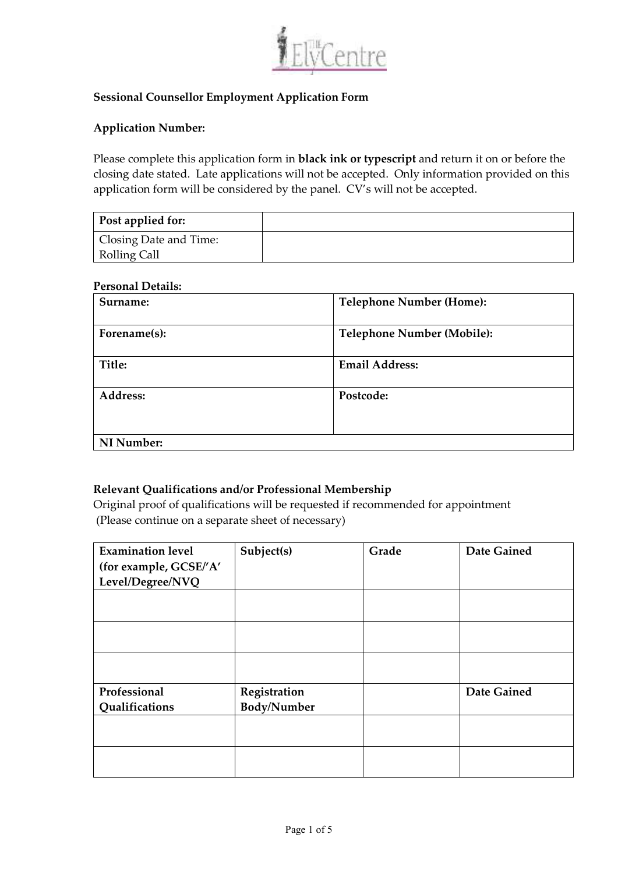

# **Sessional Counsellor Employment Application Form**

### **Application Number:**

Please complete this application form in **black ink or typescript** and return it on or before the closing date stated. Late applications will not be accepted. Only information provided on this application form will be considered by the panel. CV's will not be accepted.

| Post applied for:      |  |
|------------------------|--|
| Closing Date and Time: |  |
| Rolling Call           |  |

#### **Personal Details:**

| Surname:     | <b>Telephone Number (Home):</b>   |
|--------------|-----------------------------------|
| Forename(s): | <b>Telephone Number (Mobile):</b> |
| Title:       | <b>Email Address:</b>             |
| Address:     | Postcode:                         |
| NI Number:   |                                   |

### **Relevant Qualifications and/or Professional Membership**

Original proof of qualifications will be requested if recommended for appointment (Please continue on a separate sheet of necessary)

| <b>Examination level</b> | Subject(s)   | Grade | Date Gained        |
|--------------------------|--------------|-------|--------------------|
| (for example, GCSE/'A'   |              |       |                    |
| Level/Degree/NVQ         |              |       |                    |
|                          |              |       |                    |
|                          |              |       |                    |
|                          |              |       |                    |
|                          |              |       |                    |
|                          |              |       |                    |
|                          |              |       |                    |
| Professional             | Registration |       | <b>Date Gained</b> |
| Qualifications           | Body/Number  |       |                    |
|                          |              |       |                    |
|                          |              |       |                    |
|                          |              |       |                    |
|                          |              |       |                    |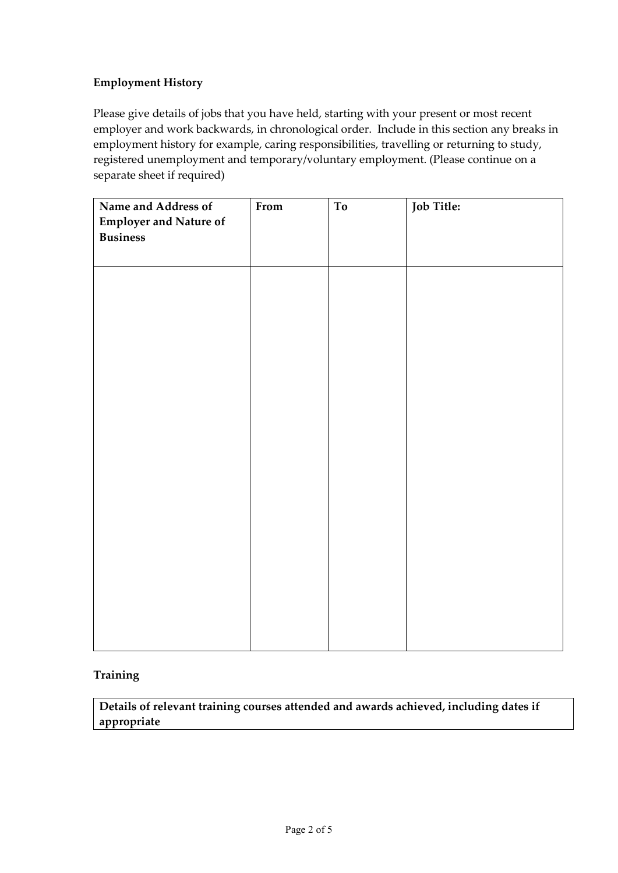# **Employment History**

Please give details of jobs that you have held, starting with your present or most recent employer and work backwards, in chronological order. Include in this section any breaks in employment history for example, caring responsibilities, travelling or returning to study, registered unemployment and temporary/voluntary employment. (Please continue on a separate sheet if required)

| Name and Address of           | From | To | Job Title: |
|-------------------------------|------|----|------------|
| <b>Employer and Nature of</b> |      |    |            |
| <b>Business</b>               |      |    |            |
|                               |      |    |            |
|                               |      |    |            |
|                               |      |    |            |
|                               |      |    |            |
|                               |      |    |            |
|                               |      |    |            |
|                               |      |    |            |
|                               |      |    |            |
|                               |      |    |            |
|                               |      |    |            |
|                               |      |    |            |
|                               |      |    |            |
|                               |      |    |            |
|                               |      |    |            |
|                               |      |    |            |
|                               |      |    |            |
|                               |      |    |            |
|                               |      |    |            |
|                               |      |    |            |
|                               |      |    |            |
|                               |      |    |            |
|                               |      |    |            |
|                               |      |    |            |
|                               |      |    |            |

## **Training**

**Details of relevant training courses attended and awards achieved, including dates if appropriate**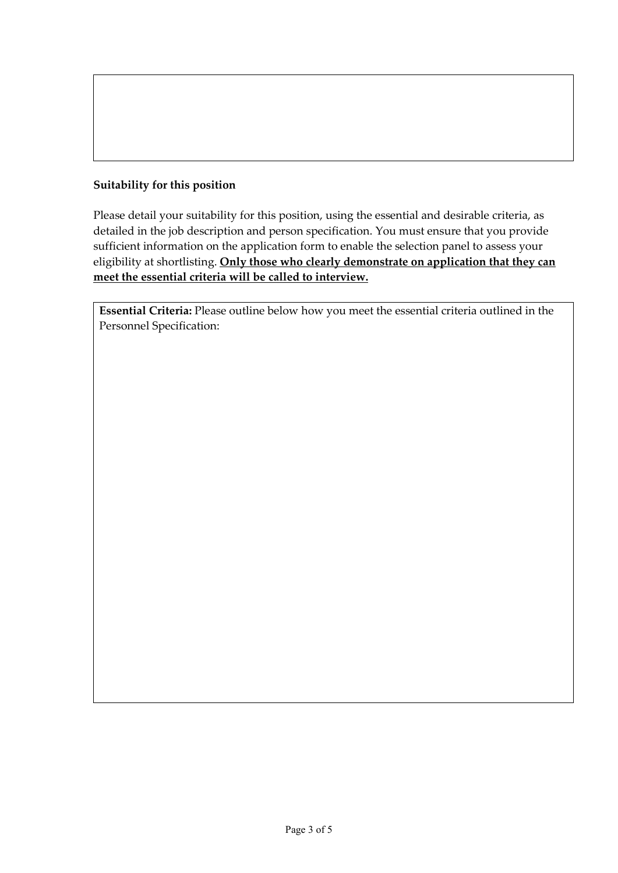# **Suitability for this position**

Please detail your suitability for this position, using the essential and desirable criteria, as detailed in the job description and person specification. You must ensure that you provide sufficient information on the application form to enable the selection panel to assess your eligibility at shortlisting. **Only those who clearly demonstrate on application that they can meet the essential criteria will be called to interview.** 

**Essential Criteria:** Please outline below how you meet the essential criteria outlined in the Personnel Specification: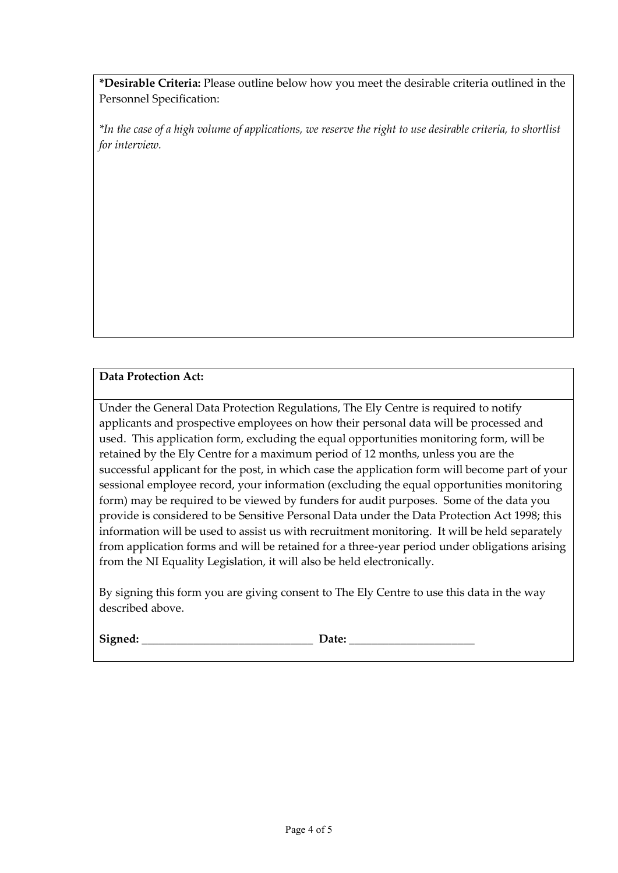**\*Desirable Criteria:** Please outline below how you meet the desirable criteria outlined in the Personnel Specification:

*\*In the case of a high volume of applications, we reserve the right to use desirable criteria, to shortlist for interview.* 

# **Data Protection Act:**

Under the General Data Protection Regulations, The Ely Centre is required to notify applicants and prospective employees on how their personal data will be processed and used. This application form, excluding the equal opportunities monitoring form, will be retained by the Ely Centre for a maximum period of 12 months, unless you are the successful applicant for the post, in which case the application form will become part of your sessional employee record, your information (excluding the equal opportunities monitoring form) may be required to be viewed by funders for audit purposes. Some of the data you provide is considered to be Sensitive Personal Data under the Data Protection Act 1998; this information will be used to assist us with recruitment monitoring. It will be held separately from application forms and will be retained for a three-year period under obligations arising from the NI Equality Legislation, it will also be held electronically.

By signing this form you are giving consent to The Ely Centre to use this data in the way described above.

| Signed<br>nea. |  |
|----------------|--|
|                |  |